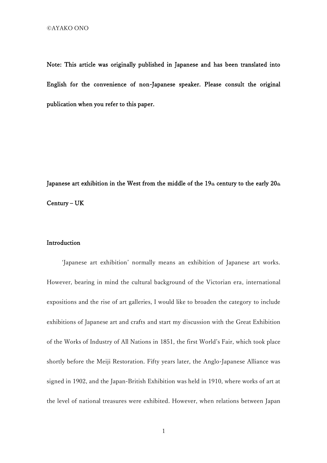Note: This article was originally published in Japanese and has been translated into English for the convenience of non-Japanese speaker. Please consult the original publication when you refer to this paper.

Japanese art exhibition in the West from the middle of the  $19<sub>th</sub>$  century to the early  $20<sub>th</sub>$ Century – UK

### Introduction

'Japanese art exhibition' normally means an exhibition of Japanese art works. However, bearing in mind the cultural background of the Victorian era, international expositions and the rise of art galleries, I would like to broaden the category to include exhibitions of Japanese art and crafts and start my discussion with the Great Exhibition of the Works of Industry of All Nations in 1851, the first World's Fair, which took place shortly before the Meiji Restoration. Fifty years later, the Anglo-Japanese Alliance was signed in 1902, and the Japan-British Exhibition was held in 1910, where works of art at the level of national treasures were exhibited. However, when relations between Japan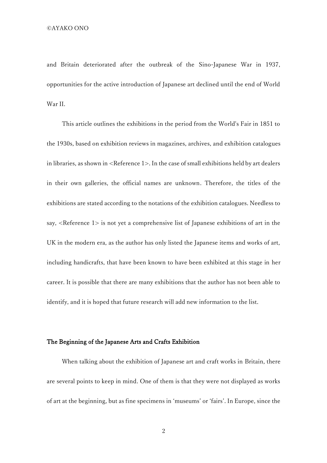and Britain deteriorated after the outbreak of the Sino-Japanese War in 1937, opportunities for the active introduction of Japanese art declined until the end of World War II.

This article outlines the exhibitions in the period from the World's Fair in 1851 to the 1930s, based on exhibition reviews in magazines, archives, and exhibition catalogues in libraries, as shown in <Reference 1>. In the case of small exhibitions held by art dealers in their own galleries, the official names are unknown. Therefore, the titles of the exhibitions are stated according to the notations of the exhibition catalogues. Needless to say, <Reference 1> is not yet a comprehensive list of Japanese exhibitions of art in the UK in the modern era, as the author has only listed the Japanese items and works of art, including handicrafts, that have been known to have been exhibited at this stage in her career. It is possible that there are many exhibitions that the author has not been able to identify, and it is hoped that future research will add new information to the list.

### The Beginning of the Japanese Arts and Crafts Exhibition

When talking about the exhibition of Japanese art and craft works in Britain, there are several points to keep in mind. One of them is that they were not displayed as works of art at the beginning, but as fine specimens in 'museums' or 'fairs'. In Europe, since the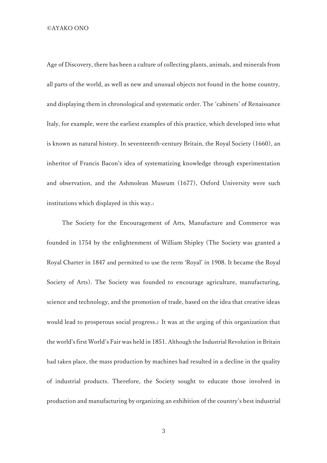Age of Discovery, there has been a culture of collecting plants, animals, and minerals from all parts of the world, as well as new and unusual objects not found in the home country, and displaying them in chronological and systematic order. The 'cabinets' of Renaissance Italy, for example, were the earliest examples of this practice, which developed into what is known as natural history. In seventeenth-century Britain, the Royal Society (1660), an inheritor of Francis Bacon's idea of systematizing knowledge through experimentation and observation, and the Ashmolean Museum (1677), Oxford University were such institutions which displayed in this way.<sup>1</sup>

The Society for the Encouragement of Arts, Manufacture and Commerce was founded in 1754 by the enlightenment of William Shipley (The Society was granted a Royal Charter in 1847 and permitted to use the term 'Royal' in 1908. It became the Royal Society of Arts). The Society was founded to encourage agriculture, manufacturing, science and technology, and the promotion of trade, based on the idea that creative ideas would lead to prosperous social progress.<sup>2</sup> It was at the urging of this organization that the world's first World's Fair was held in 1851. Although the Industrial Revolution in Britain had taken place, the mass production by machines had resulted in a decline in the quality of industrial products. Therefore, the Society sought to educate those involved in production and manufacturing by organizing an exhibition of the country's best industrial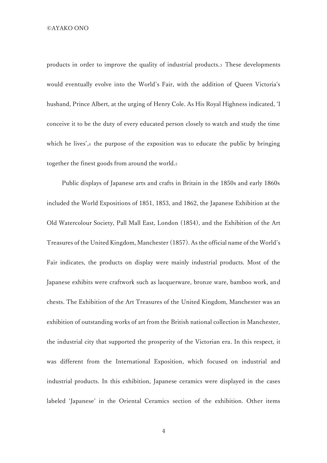products in order to improve the quality of industrial products.<sup>3</sup> These developments would eventually evolve into the World's Fair, with the addition of Queen Victoria's husband, Prince Albert, at the urging of Henry Cole. As His Royal Highness indicated, 'I conceive it to be the duty of every educated person closely to watch and study the time which he lives',4 the purpose of the exposition was to educate the public by bringing together the finest goods from around the world.<sup>5</sup>

Public displays of Japanese arts and crafts in Britain in the 1850s and early 1860s included the World Expositions of 1851, 1853, and 1862, the Japanese Exhibition at the Old Watercolour Society, Pall Mall East, London (1854), and the Exhibition of the Art Treasures of the United Kingdom, Manchester (1857). As the official name of the World's Fair indicates, the products on display were mainly industrial products. Most of the Japanese exhibits were craftwork such as lacquerware, bronze ware, bamboo work, and chests. The Exhibition of the Art Treasures of the United Kingdom, Manchester was an exhibition of outstanding works of art from the British national collection in Manchester, the industrial city that supported the prosperity of the Victorian era. In this respect, it was different from the International Exposition, which focused on industrial and industrial products. In this exhibition, Japanese ceramics were displayed in the cases labeled 'Japanese' in the Oriental Ceramics section of the exhibition. Other items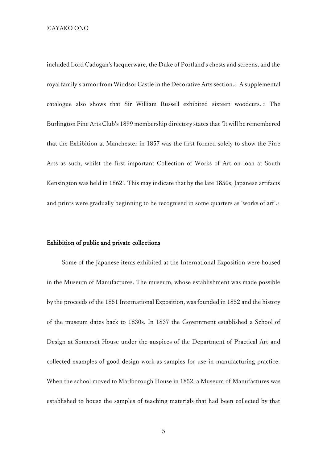included Lord Cadogan's lacquerware, the Duke of Portland's chests and screens, and the royal family's armor from Windsor Castle in the Decorative Arts section.<sup>6</sup> A supplemental catalogue also shows that Sir William Russell exhibited sixteen woodcuts. <sup>7</sup> The Burlington Fine Arts Club's 1899 membership directory states that 'It will be remembered that the Exhibition at Manchester in 1857 was the first formed solely to show the Fine Arts as such, whilst the first important Collection of Works of Art on loan at South Kensington was held in 1862'. This may indicate that by the late 1850s, Japanese artifacts and prints were gradually beginning to be recognised in some quarters as 'works of art'.<sup>8</sup>

### Exhibition of public and private collections

Some of the Japanese items exhibited at the International Exposition were housed in the Museum of Manufactures. The museum, whose establishment was made possible by the proceeds of the 1851 International Exposition, was founded in 1852 and the history of the museum dates back to 1830s. In 1837 the Government established a School of Design at Somerset House under the auspices of the Department of Practical Art and collected examples of good design work as samples for use in manufacturing practice. When the school moved to Marlborough House in 1852, a Museum of Manufactures was established to house the samples of teaching materials that had been collected by that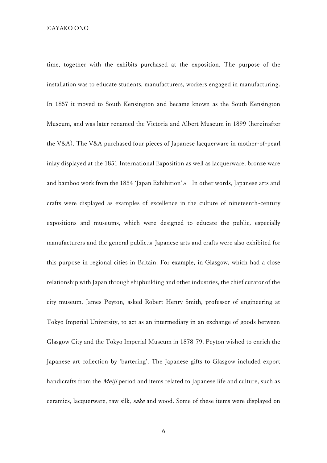time, together with the exhibits purchased at the exposition. The purpose of the installation was to educate students, manufacturers, workers engaged in manufacturing. In 1857 it moved to South Kensington and became known as the South Kensington Museum, and was later renamed the Victoria and Albert Museum in 1899 (hereinafter the V&A). The V&A purchased four pieces of Japanese lacquerware in mother-of-pearl inlay displayed at the 1851 International Exposition as well as lacquerware, bronze ware and bamboo work from the 1854 'Japan Exhibition'.<sup>9</sup> In other words, Japanese arts and crafts were displayed as examples of excellence in the culture of nineteenth-century expositions and museums, which were designed to educate the public, especially manufacturers and the general public.<sup>10</sup> Japanese arts and crafts were also exhibited for this purpose in regional cities in Britain. For example, in Glasgow, which had a close relationship with Japan through shipbuilding and other industries, the chief curator of the city museum, James Peyton, asked Robert Henry Smith, professor of engineering at Tokyo Imperial University, to act as an intermediary in an exchange of goods between Glasgow City and the Tokyo Imperial Museum in 1878-79. Peyton wished to enrich the Japanese art collection by 'bartering'. The Japanese gifts to Glasgow included export handicrafts from the *Meiji* period and items related to Japanese life and culture, such as ceramics, lacquerware, raw silk, sake and wood. Some of these items were displayed on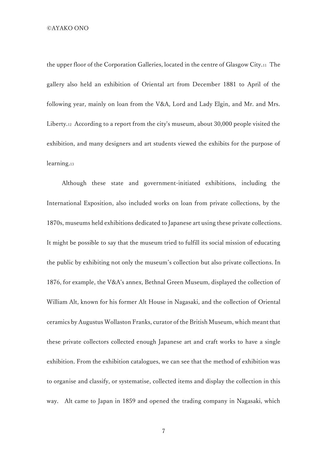the upper floor of the Corporation Galleries, located in the centre of Glasgow City.<sup>11</sup> The gallery also held an exhibition of Oriental art from December 1881 to April of the following year, mainly on loan from the V&A, Lord and Lady Elgin, and Mr. and Mrs. Liberty.<sup>12</sup> According to a report from the city's museum, about 30,000 people visited the exhibition, and many designers and art students viewed the exhibits for the purpose of learning.<sup>13</sup>

Although these state and government-initiated exhibitions, including the International Exposition, also included works on loan from private collections, by the 1870s, museums held exhibitions dedicated to Japanese art using these private collections. It might be possible to say that the museum tried to fulfill its social mission of educating the public by exhibiting not only the museum's collection but also private collections. In 1876, for example, the V&A's annex, Bethnal Green Museum, displayed the collection of William Alt, known for his former Alt House in Nagasaki, and the collection of Oriental ceramics by Augustus Wollaston Franks, curator of the British Museum, which meant that these private collectors collected enough Japanese art and craft works to have a single exhibition. From the exhibition catalogues, we can see that the method of exhibition was to organise and classify, or systematise, collected items and display the collection in this way. Alt came to Japan in 1859 and opened the trading company in Nagasaki, which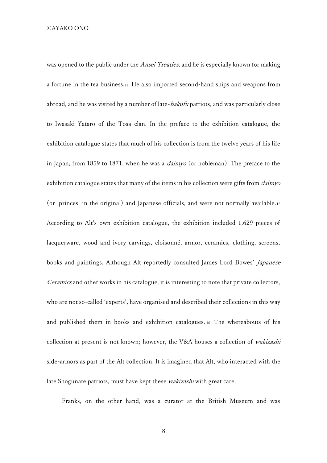was opened to the public under the *Ansei Treaties*, and he is especially known for making a fortune in the tea business.<sup>14</sup> He also imported second-hand ships and weapons from abroad, and he was visited by a number of late-bakufu patriots, and was particularly close to Iwasaki Yataro of the Tosa clan. In the preface to the exhibition catalogue, the exhibition catalogue states that much of his collection is from the twelve years of his life in Japan, from 1859 to 1871, when he was a *daimyo* (or nobleman). The preface to the exhibition catalogue states that many of the items in his collection were gifts from *daimyo* (or 'princes' in the original) and Japanese officials, and were not normally available.<sup>15</sup> According to Alt's own exhibition catalogue, the exhibition included 1,629 pieces of lacquerware, wood and ivory carvings, cloisonné, armor, ceramics, clothing, screens, books and paintings. Although Alt reportedly consulted James Lord Bowes' Japanese Ceramics and other works in his catalogue, it is interesting to note that private collectors, who are not so-called 'experts', have organised and described their collections in this way and published them in books and exhibition catalogues. <sup>16</sup> The whereabouts of his collection at present is not known; however, the V&A houses a collection of wakizashi side-armors as part of the Alt collection. It is imagined that Alt, who interacted with the late Shogunate patriots, must have kept these wakizashi with great care.

Franks, on the other hand, was a curator at the British Museum and was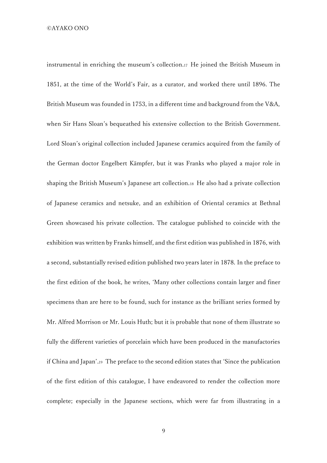instrumental in enriching the museum's collection.<sup>17</sup> He joined the British Museum in 1851, at the time of the World's Fair, as a curator, and worked there until 1896. The British Museum was founded in 1753, in a different time and background from the V&A, when Sir Hans Sloan's bequeathed his extensive collection to the British Government. Lord Sloan's original collection included Japanese ceramics acquired from the family of the German doctor Engelbert Kämpfer, but it was Franks who played a major role in shaping the British Museum's Japanese art collection.<sup>18</sup> He also had a private collection of Japanese ceramics and netsuke, and an exhibition of Oriental ceramics at Bethnal Green showcased his private collection. The catalogue published to coincide with the exhibition was written by Franks himself, and the first edition was published in 1876, with a second, substantially revised edition published two years later in 1878. In the preface to the first edition of the book, he writes, 'Many other collections contain larger and finer specimens than are here to be found, such for instance as the brilliant series formed by Mr. Alfred Morrison or Mr. Louis Huth; but it is probable that none of them illustrate so fully the different varieties of porcelain which have been produced in the manufactories if China and Japan'.<sup>19</sup> The preface to the second edition states that 'Since the publication of the first edition of this catalogue, I have endeavored to render the collection more complete; especially in the Japanese sections, which were far from illustrating in a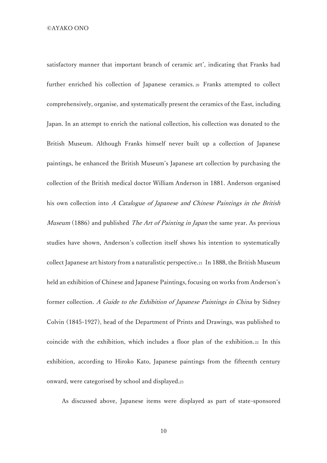satisfactory manner that important branch of ceramic art', indicating that Franks had further enriched his collection of Japanese ceramics. <sup>20</sup> Franks attempted to collect comprehensively, organise, and systematically present the ceramics of the East, including Japan. In an attempt to enrich the national collection, his collection was donated to the British Museum. Although Franks himself never built up a collection of Japanese paintings, he enhanced the British Museum's Japanese art collection by purchasing the collection of the British medical doctor William Anderson in 1881. Anderson organised his own collection into A Catalogue of Japanese and Chinese Paintings in the British Museum (1886) and published The Art of Painting in Japan the same year. As previous studies have shown, Anderson's collection itself shows his intention to systematically collect Japanese art history from a naturalistic perspective.<sup>21</sup> In 1888, the British Museum held an exhibition of Chinese and Japanese Paintings, focusing on works from Anderson's former collection. A Guide to the Exhibition of Japanese Paintings in China by Sidney Colvin (1845-1927), head of the Department of Prints and Drawings, was published to coincide with the exhibition, which includes a floor plan of the exhibition.<sup>22</sup> In this exhibition, according to Hiroko Kato, Japanese paintings from the fifteenth century onward, were categorised by school and displayed.<sup>23</sup>

As discussed above, Japanese items were displayed as part of state-sponsored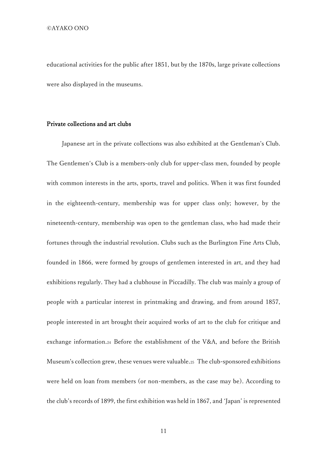educational activities for the public after 1851, but by the 1870s, large private collections were also displayed in the museums.

# Private collections and art clubs

Japanese art in the private collections was also exhibited at the Gentleman's Club. The Gentlemen's Club is a members-only club for upper-class men, founded by people with common interests in the arts, sports, travel and politics. When it was first founded in the eighteenth-century, membership was for upper class only; however, by the nineteenth-century, membership was open to the gentleman class, who had made their fortunes through the industrial revolution. Clubs such as the Burlington Fine Arts Club, founded in 1866, were formed by groups of gentlemen interested in art, and they had exhibitions regularly. They had a clubhouse in Piccadilly. The club was mainly a group of people with a particular interest in printmaking and drawing, and from around 1857, people interested in art brought their acquired works of art to the club for critique and exchange information.<sup>24</sup> Before the establishment of the V&A, and before the British Museum's collection grew, these venues were valuable.<sup>25</sup> The club-sponsored exhibitions were held on loan from members (or non-members, as the case may be). According to the club's records of 1899, the first exhibition was held in 1867, and 'Japan' is represented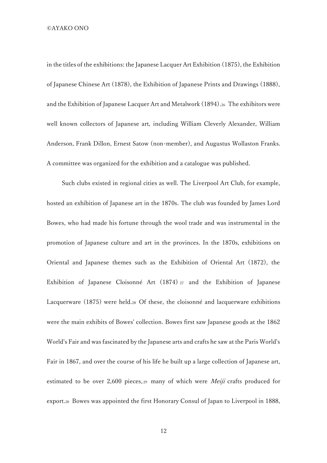in the titles of the exhibitions: the Japanese Lacquer Art Exhibition (1875), the Exhibition of Japanese Chinese Art (1878), the Exhibition of Japanese Prints and Drawings (1888), and the Exhibition of Japanese Lacquer Art and Metalwork (1894).<sup>26</sup> The exhibitors were well known collectors of Japanese art, including William Cleverly Alexander, William Anderson, Frank Dillon, Ernest Satow (non-member), and Augustus Wollaston Franks. A committee was organized for the exhibition and a catalogue was published.

Such clubs existed in regional cities as well. The Liverpool Art Club, for example, hosted an exhibition of Japanese art in the 1870s. The club was founded by James Lord Bowes, who had made his fortune through the wool trade and was instrumental in the promotion of Japanese culture and art in the provinces. In the 1870s, exhibitions on Oriental and Japanese themes such as the Exhibition of Oriental Art (1872), the Exhibition of Japanese Cloisonné Art (1874) <sup>27</sup> and the Exhibition of Japanese Lacquerware (1875) were held.<sup>28</sup> Of these, the cloisonné and lacquerware exhibitions were the main exhibits of Bowes' collection. Bowes first saw Japanese goods at the 1862 World's Fair and was fascinated by the Japanese arts and crafts he saw at the Paris World's Fair in 1867, and over the course of his life he built up a large collection of Japanese art, estimated to be over 2,600 pieces,  $29$  many of which were *Meiji* crafts produced for export.<sup>30</sup> Bowes was appointed the first Honorary Consul of Japan to Liverpool in 1888,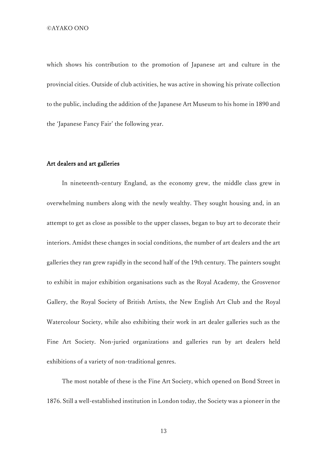which shows his contribution to the promotion of Japanese art and culture in the provincial cities. Outside of club activities, he was active in showing his private collection to the public, including the addition of the Japanese Art Museum to his home in 1890 and the 'Japanese Fancy Fair' the following year.

#### Art dealers and art galleries

 In nineteenth-century England, as the economy grew, the middle class grew in overwhelming numbers along with the newly wealthy. They sought housing and, in an attempt to get as close as possible to the upper classes, began to buy art to decorate their interiors. Amidst these changes in social conditions, the number of art dealers and the art galleries they ran grew rapidly in the second half of the 19th century. The painters sought to exhibit in major exhibition organisations such as the Royal Academy, the Grosvenor Gallery, the Royal Society of British Artists, the New English Art Club and the Royal Watercolour Society, while also exhibiting their work in art dealer galleries such as the Fine Art Society. Non-juried organizations and galleries run by art dealers held exhibitions of a variety of non-traditional genres.

The most notable of these is the Fine Art Society, which opened on Bond Street in 1876. Still a well-established institution in London today, the Society was a pioneer in the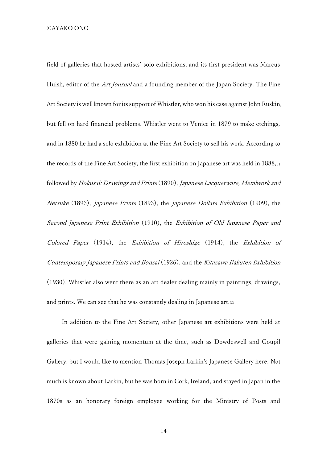field of galleries that hosted artists' solo exhibitions, and its first president was Marcus Huish, editor of the *Art Journal* and a founding member of the Japan Society. The Fine Art Society is well known for its support of Whistler, who won his case against John Ruskin, but fell on hard financial problems. Whistler went to Venice in 1879 to make etchings, and in 1880 he had a solo exhibition at the Fine Art Society to sell his work. According to the records of the Fine Art Society, the first exhibition on Japanese art was held in 1888,<sup>31</sup> followed by Hokusai: Drawings and Prints (1890), Japanese Lacquerware, Metalwork and Netsuke (1893), Japanese Prints (1893), the Japanese Dollars Exhibition (1909), the Second Japanese Print Exhibition (1910), the Exhibition of Old Japanese Paper and Colored Paper (1914), the Exhibition of Hiroshige (1914), the Exhibition of Contemporary Japanese Prints and Bonsai (1926), and the Kitazawa Rakuten Exhibition (1930). Whistler also went there as an art dealer dealing mainly in paintings, drawings, and prints. We can see that he was constantly dealing in Japanese art.<sup>32</sup>

In addition to the Fine Art Society, other Japanese art exhibitions were held at galleries that were gaining momentum at the time, such as Dowdeswell and Goupil Gallery, but I would like to mention Thomas Joseph Larkin's Japanese Gallery here. Not much is known about Larkin, but he was born in Cork, Ireland, and stayed in Japan in the 1870s as an honorary foreign employee working for the Ministry of Posts and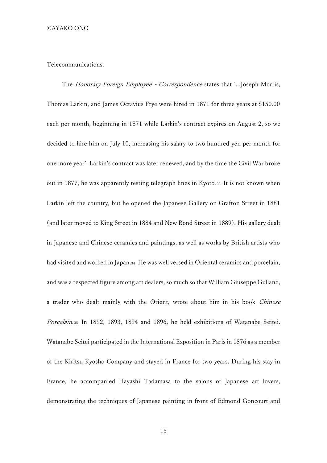#### Telecommunications.

The Honorary Foreign Employee - Correspondence states that '...Joseph Morris, Thomas Larkin, and James Octavius Frye were hired in 1871 for three years at \$150.00 each per month, beginning in 1871 while Larkin's contract expires on August 2, so we decided to hire him on July 10, increasing his salary to two hundred yen per month for one more year'. Larkin's contract was later renewed, and by the time the Civil War broke out in 1877, he was apparently testing telegraph lines in Kyoto.<sup>33</sup> It is not known when Larkin left the country, but he opened the Japanese Gallery on Grafton Street in 1881 (and later moved to King Street in 1884 and New Bond Street in 1889). His gallery dealt in Japanese and Chinese ceramics and paintings, as well as works by British artists who had visited and worked in Japan.<sup>34</sup> He was well versed in Oriental ceramics and porcelain, and was a respected figure among art dealers, so much so that William Giuseppe Gulland, a trader who dealt mainly with the Orient, wrote about him in his book Chinese Porcelain.<sup>35</sup> In 1892, 1893, 1894 and 1896, he held exhibitions of Watanabe Seitei. Watanabe Seitei participated in the International Exposition in Paris in 1876 as a member of the Kiritsu Kyosho Company and stayed in France for two years. During his stay in France, he accompanied Hayashi Tadamasa to the salons of Japanese art lovers, demonstrating the techniques of Japanese painting in front of Edmond Goncourt and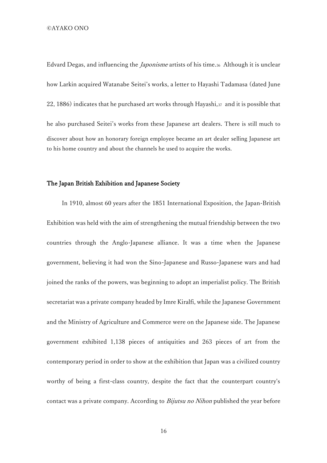Edvard Degas, and influencing the Japonisme artists of his time.<sup>36</sup> Although it is unclear how Larkin acquired Watanabe Seitei's works, a letter to Hayashi Tadamasa (dated June 22, 1886) indicates that he purchased art works through Hayashi,<sup>37</sup> and it is possible that he also purchased Seitei's works from these Japanese art dealers. There is still much to discover about how an honorary foreign employee became an art dealer selling Japanese art to his home country and about the channels he used to acquire the works.

# The Japan British Exhibition and Japanese Society

In 1910, almost 60 years after the 1851 International Exposition, the Japan-British Exhibition was held with the aim of strengthening the mutual friendship between the two countries through the Anglo-Japanese alliance. It was a time when the Japanese government, believing it had won the Sino-Japanese and Russo-Japanese wars and had joined the ranks of the powers, was beginning to adopt an imperialist policy. The British secretariat was a private company headed by Imre Kiralfi, while the Japanese Government and the Ministry of Agriculture and Commerce were on the Japanese side. The Japanese government exhibited 1,138 pieces of antiquities and 263 pieces of art from the contemporary period in order to show at the exhibition that Japan was a civilized country worthy of being a first-class country, despite the fact that the counterpart country's contact was a private company. According to *Bijutsu no Nihon* published the year before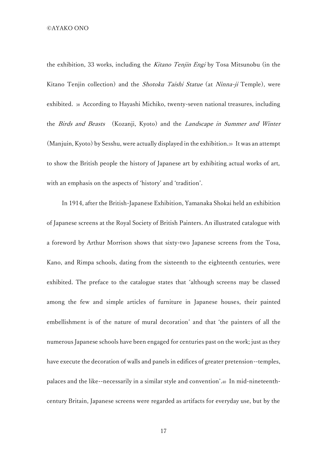the exhibition, 33 works, including the Kitano Tenjin Engi by Tosa Mitsunobu (in the Kitano Tenjin collection) and the Shotoku Taishi Statue (at Ninna-ji Temple), were exhibited. <sup>38</sup> According to Hayashi Michiko, twenty-seven national treasures, including the Birds and Beasts (Kozanji, Kyoto) and the Landscape in Summer and Winter (Manjuin, Kyoto) by Sesshu, were actually displayed in the exhibition.<sup>39</sup> It was an attempt to show the British people the history of Japanese art by exhibiting actual works of art, with an emphasis on the aspects of 'history' and 'tradition'.

In 1914, after the British-Japanese Exhibition, Yamanaka Shokai held an exhibition of Japanese screens at the Royal Society of British Painters. An illustrated catalogue with a foreword by Arthur Morrison shows that sixty-two Japanese screens from the Tosa, Kano, and Rimpa schools, dating from the sixteenth to the eighteenth centuries, were exhibited. The preface to the catalogue states that 'although screens may be classed among the few and simple articles of furniture in Japanese houses, their painted embellishment is of the nature of mural decoration' and that 'the painters of all the numerous Japanese schools have been engaged for centuries past on the work; just as they have execute the decoration of walls and panels in edifices of greater pretension--temples, palaces and the like--necessarily in a similar style and convention'.<sup>40</sup> In mid-nineteenthcentury Britain, Japanese screens were regarded as artifacts for everyday use, but by the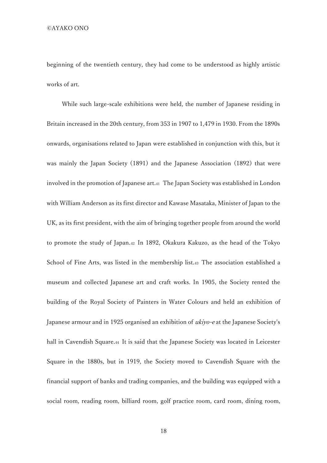beginning of the twentieth century, they had come to be understood as highly artistic works of art.

While such large-scale exhibitions were held, the number of Japanese residing in Britain increased in the 20th century, from 353 in 1907 to 1,479 in 1930. From the 1890s onwards, organisations related to Japan were established in conjunction with this, but it was mainly the Japan Society (1891) and the Japanese Association (1892) that were involved in the promotion of Japanese art.<sup>41</sup> The Japan Society was established in London with William Anderson as its first director and Kawase Masataka, Minister of Japan to the UK, as its first president, with the aim of bringing together people from around the world to promote the study of Japan.<sup>42</sup> In 1892, Okakura Kakuzo, as the head of the Tokyo School of Fine Arts, was listed in the membership list.<sup>43</sup> The association established a museum and collected Japanese art and craft works. In 1905, the Society rented the building of the Royal Society of Painters in Water Colours and held an exhibition of Japanese armour and in 1925 organised an exhibition of *ukiyo-e* at the Japanese Society's hall in Cavendish Square.<sup>44</sup> It is said that the Japanese Society was located in Leicester Square in the 1880s, but in 1919, the Society moved to Cavendish Square with the financial support of banks and trading companies, and the building was equipped with a social room, reading room, billiard room, golf practice room, card room, dining room,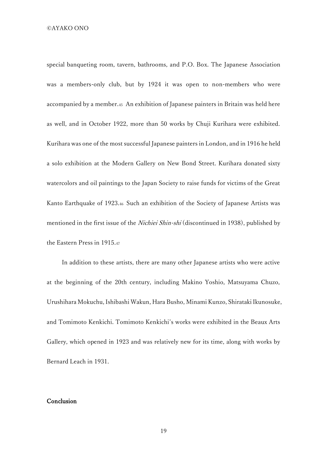special banqueting room, tavern, bathrooms, and P.O. Box. The Japanese Association was a members-only club, but by 1924 it was open to non-members who were accompanied by a member.<sup>45</sup> An exhibition of Japanese painters in Britain was held here as well, and in October 1922, more than 50 works by Chuji Kurihara were exhibited. Kurihara was one of the most successful Japanese painters in London, and in 1916 he held a solo exhibition at the Modern Gallery on New Bond Street. Kurihara donated sixty watercolors and oil paintings to the Japan Society to raise funds for victims of the Great Kanto Earthquake of 1923.<sup>46</sup> Such an exhibition of the Society of Japanese Artists was mentioned in the first issue of the *Nichiei Shin-shi* (discontinued in 1938), published by the Eastern Press in 1915.<sup>47</sup>

In addition to these artists, there are many other Japanese artists who were active at the beginning of the 20th century, including Makino Yoshio, Matsuyama Chuzo, Urushihara Mokuchu, Ishibashi Wakun, Hara Busho, Minami Kunzo, Shirataki Ikunosuke, and Tomimoto Kenkichi. Tomimoto Kenkichi's works were exhibited in the Beaux Arts Gallery, which opened in 1923 and was relatively new for its time, along with works by Bernard Leach in 1931.

## Conclusion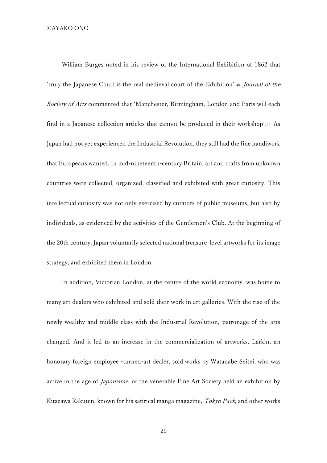William Burges noted in his review of the International Exhibition of 1862 that 'truly the Japanese Court is the real medieval court of the Exhibition'.<sup>48</sup> Journal of the Society of Arts commented that 'Manchester, Birmingham, London and Paris will each find in a Japanese collection articles that cannot be produced in their workshop'.<sup>49</sup> As Japan had not yet experienced the Industrial Revolution, they still had the fine handiwork that Europeans wanted. In mid-nineteenth-century Britain, art and crafts from unknown countries were collected, organized, classified and exhibited with great curiosity. This intellectual curiosity was not only exercised by curators of public museums, but also by individuals, as evidenced by the activities of the Gentlemen's Club. At the beginning of the 20th century, Japan voluntarily selected national treasure-level artworks for its image strategy, and exhibited them in London.

In addition, Victorian London, at the centre of the world economy, was home to many art dealers who exhibited and sold their work in art galleries. With the rise of the newly wealthy and middle class with the Industrial Revolution, patronage of the arts changed. And it led to an increase in the commercialization of artworks. Larkin, an honorary foreign employee -turned-art dealer, sold works by Watanabe Seitei, who was active in the age of *Japonisme*, or the venerable Fine Art Society held an exhibition by Kitazawa Rakuten, known for his satirical manga magazine, Tokyo Pack, and other works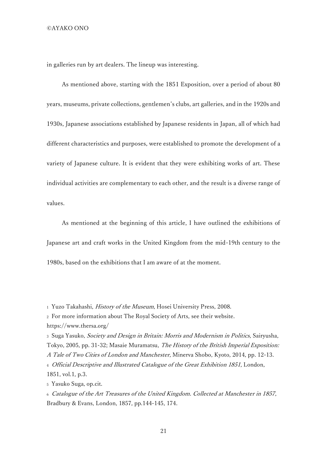in galleries run by art dealers. The lineup was interesting.

As mentioned above, starting with the 1851 Exposition, over a period of about 80 years, museums, private collections, gentlemen's clubs, art galleries, and in the 1920s and 1930s, Japanese associations established by Japanese residents in Japan, all of which had different characteristics and purposes, were established to promote the development of a variety of Japanese culture. It is evident that they were exhibiting works of art. These individual activities are complementary to each other, and the result is a diverse range of values.

As mentioned at the beginning of this article, I have outlined the exhibitions of Japanese art and craft works in the United Kingdom from the mid-19th century to the 1980s, based on the exhibitions that I am aware of at the moment.

<sup>5</sup> Yasuko Suga, op.cit.

<sup>1</sup> Yuzo Takahashi, History of the Museum, Hosei University Press, 2008.

<sup>2</sup> For more information about The Royal Society of Arts, see their website. https://www.thersa.org/

<sup>3</sup> Suga Yasuko, Society and Design in Britain: Morris and Modernism in Politics, Sairyusha, Tokyo, 2005, pp. 31-32; Masaie Muramatsu, The History of the British Imperial Exposition: A Tale of Two Cities of London and Manchester, Minerva Shobo, Kyoto, 2014, pp. 12-13. <sup>4</sup> Official Descriptive and Illustrated Catalogue of the Great Exhibition 1851, London, 1851, vol.1, p.3.

<sup>6</sup> Catalogue of the Art Treasures of the United Kingdom. Collected at Manchester in 1857, Bradbury & Evans, London, 1857, pp.144-145, 174.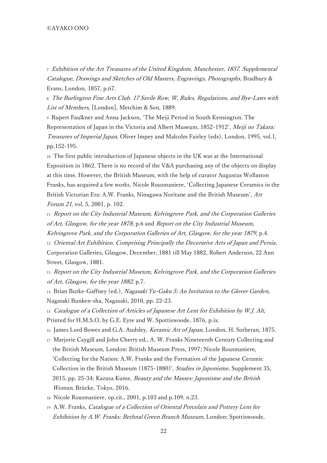<sup>7</sup> Exhibition of the Art Treasures of the United Kingdom, Manchester, 1857. Supplemental Catalogue, Drawings and Sketches of Old Masters, Engravings, Photographs, Bradbury & Evans, London, 1857, p.67.

<sup>8</sup> The Burlington Fine Arts Club. 17 Savile Row, W. Rules, Regulations, and Bye-Laws with List of Members, [London], Metchim & Son, 1889.

<sup>9</sup> Rupert Faulkner and Anna Jackson, 'The Meiji Period in South Kensington. The Representation of Japan in the Victoria and Albert Museum, 1852-1912', Meiji no Takara: Treasures of Imperial Japan, Oliver Impey and Malcolm Fairley (eds), London, 1995, vol.1, pp.152-195.

<sup>10</sup> The first public introduction of Japanese objects in the UK was at the International Exposition in 1862. There is no record of the V&A purchasing any of the objects on display at this time. However, the British Museum, with the help of curator Augustus Wollaston Franks, has acquired a few works. Nicole Rousmaniere, 'Collecting Japanese Ceramics in the British Victorian Era: A.W. Franks, Ninagawa Noritane and the British Museum', Art Forum 21, vol. 5, 2001, p. 102.

<sup>11</sup> Report on the City Industrial Museum, Kelvingrove Park, and the Corporation Galleries of Art, Glasgow, for the year 1878, p.6 and Report on the City Industrial Museum,

Kelvingrove Park, and the Corporation Galleries of Art, Glasgow, for the year 1879, p.4. <sup>12</sup> Oriental Art Exhibition. Comprising Principally the Decorative Arts of Japan and Persia, Corporation Galleries, Glasgow, December, 1881 till May 1882, Robert Anderson, 22 Ann Street, Glasgow, 1881.

<sup>13</sup> Report on the City Industrial Museum, Kelvingrove Park, and the Corporation Galleries of Art, Glasgow, for the year <sup>1882</sup>, p.7.

14 Brian Burke-Gaffney (ed.), Nagasaki Yu-Gaku 5: An Invitation to the Glover Garden, Nagasaki Bunken-sha, Nagasaki, 2010, pp. 22-23.

<sup>15</sup> Catalogue of a Collection of Articles of Japanese Art Lent for Exhibition by W.J. Alt,

Printed for H.M.S.O. by G.E. Eyre and W. Spottiswoode, 1876, p.ix.

16 James Lord Bowes and G.A. Audsley, Keramic Art of Japan, London, H. Sotheran, 1875.

- <sup>17</sup> Marjorie Caygill and John Cherry ed., A. W. Franks Nineteenth Century Collecting and the British Museum, London: British Museum Press, 1997; Nicole Rousmaniere, 'Collecting for the Nation: A.W. Franks and the Formation of the Japanese Ceramic Collection in the British Museum (1875-1880)', Studies in Japonisme, Supplement 35, 2015, pp. 25-34; Kazusa Kume, Beauty and the Masses: Japonisme and the British Woman, Brücke, Tokyo, 2016.
- <sup>18</sup> Nicole Rousmaniere, op.cit., 2001, p.103 and p.109, n.23.
- <sup>19</sup> A.W. Franks, Catalogue of a Collection of Oriental Porcelain and Pottery Lent for Exhibition by A.W. Franks: Bethnal Green Branch Museum, London: Spottiswoode,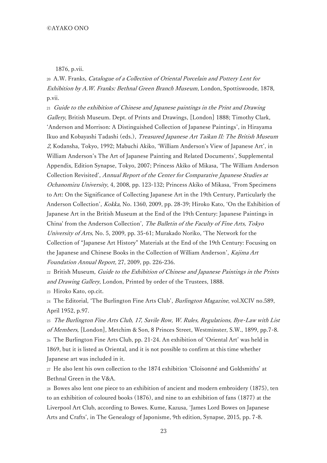1876, p.vii.

<sup>20</sup> A.W. Franks, Catalogue of a Collection of Oriental Porcelain and Pottery Lent for Exhibition by A.W. Franks: Bethnal Green Branch Museum, London, Spottiswoode, 1878, p.vii.

<sup>21</sup> Guide to the exhibition of Chinese and Japanese paintings in the Print and Drawing Gallery, British Museum. Dept. of Prints and Drawings, [London] 1888; Timothy Clark, 'Anderson and Morrison: A Distinguished Collection of Japanese Paintings', in Hirayama Ikuo and Kobayashi Tadashi (eds.), Treasured Japanese Art Taikan II: The British Museum 2, Kodansha, Tokyo, 1992; Mabuchi Akiko, 'William Anderson's View of Japanese Art', in William Anderson's The Art of Japanese Painting and Related Documents', Supplemental Appendix, Edition Synapse, Tokyo, 2007; Princess Akiko of Mikasa, 'The William Anderson Collection Revisited', Annual Report of the Center for Comparative Japanese Studies at Ochanomizu University, 4, 2008, pp. 123-132; Princess Akiko of Mikasa, 'From Specimens to Art: On the Significance of Collecting Japanese Art in the 19th Century, Particularly the Anderson Collection', Kokka, No. 1360, 2009, pp. 28-39; Hiroko Kato, 'On the Exhibition of Japanese Art in the British Museum at the End of the 19th Century: Japanese Paintings in China' from the Anderson Collection', The Bulletin of the Faculty of Fine Arts, Tokyo University of Arts, No. 5, 2009, pp. 35-61; Murakado Noriko, 'The Network for the Collection of "Japanese Art History" Materials at the End of the 19th Century: Focusing on the Japanese and Chinese Books in the Collection of William Anderson', Kajima Art Foundation Annual Report, 27, 2009, pp. 226-236.

<sup>22</sup> British Museum, Guide to the Exhibition of Chinese and Japanese Paintings in the Prints and Drawing Gallery, London, Printed by order of the Trustees, 1888.

<sup>23</sup> Hiroko Kato, op.cit.

<sup>24</sup> The Editorial, 'The Burlington Fine Arts Club', Burlington Magazine, vol.XCIV no.589, April 1952, p.97.

<sup>25</sup> The Burlington Fine Arts Club, 17, Savile Row, W. Rules, Regulations, Bye-Law with List of Members, [London], Metchim & Son, 8 Princes Street, Westminster, S.W., 1899, pp.7-8. <sup>26</sup> The Burlington Fine Arts Club, pp. 21-24. An exhibition of 'Oriental Art' was held in 1869, but it is listed as Oriental, and it is not possible to confirm at this time whether Japanese art was included in it.

<sup>27</sup> He also lent his own collection to the 1874 exhibition 'Cloisonné and Goldsmiths' at Bethnal Green in the V&A.

<sup>28</sup> Bowes also lent one piece to an exhibition of ancient and modern embroidery (1875), ten to an exhibition of coloured books (1876), and nine to an exhibition of fans (1877) at the Liverpool Art Club, according to Bowes. Kume, Kazusa, 'James Lord Bowes on Japanese Arts and Crafts', in The Genealogy of Japonisme, 9th edition, Synapse, 2015, pp. 7-8.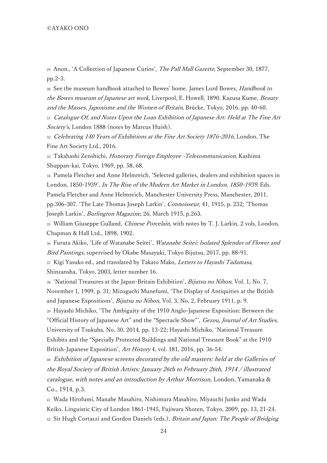<sup>29</sup> Anon., 'A Collection of Japanese Curios', The Pall Mall Gazette, September 30, 1877, pp.2-3.

<sup>30</sup> See the museum handbook attached to Bowes' home. James Lord Bowes, Handbook to the Bowes museum of Japanese art work, Liverpool, E. Howell, 1890. Kazusa Kume, Beauty and the Masses, Japonisme and the Women of Britain, Brücke, Tokyo, 2016, pp. 40-60.

<sup>31</sup> Catalogue Of, and Notes Upon the Loan Exhibition of Japanese Art: Held at The Fine Art Society's, London 1888 (notes by Marcus Huish).

32 Celebrating 140 Years of Exhibitions at the Fine Art Society 1876-2016, London, The Fine Art Society Ltd., 2016.

33 Takahashi Zenshichi, Honorary Foreign Employee - Telecommunication, Kashima Shuppan-kai, Tokyo, 1969, pp. 58, 68.

<sup>34</sup> Pamela Fletcher and Anne Helmreich, 'Selected galleries, dealers and exhibition spaces in London, 1850-1939', In The Rise of the Modern Art Market in London, 1850-1939. Eds. Pamela Fletcher and Anne Helmreich, Manchester University Press, Manchester, 2011, pp.306-307. 'The Late Thomas Joseph Larkin', Connoisseur, 41, 1915, p. 232; 'Thomas Joseph Larkin', Burlington Magazine, 26, March 1915, p.263.

35 William Giuseppe Gulland, *Chinese Porcelain*, with notes by T. J. Larkin, 2 vols, London, Chapman & Hall Ltd., 1898, 1902.

36 Furuta Akiko, 'Life of Watanabe Seitei', Watanabe Seitei: Isolated Splendor of Flower and Bird Paintings, supervised by Okabe Masayuki, Tokyo Bijutsu, 2017, pp. 88-91.

37 Kigi Yasuko ed., and translated by Takato Mako, Letters to Hayashi Tadamasa, Shinzansha, Tokyo, 2003, letter number 16.

38 'National Treasures at the Japan-Britain Exhibition', Bijutsu no Nihon, Vol. 1, No. 7, November 1, 1909, p. 31; Mizoguchi Munefumi, 'The Display of Antiquities at the British and Japanese Expositions', Bijutsu no Nihon, Vol. 3, No. 2, February 1911, p. 9.

<sup>39</sup> Hayashi Michiko, 'The Ambiguity of the 1910 Anglo-Japanese Exposition: Between the "Official History of Japanese Art" and the "Spectacle Show"', Gezou, Journal of Art Studies, University of Tsukuba, No. 30, 2014, pp. 13-22; Hayashi Michiko, 'National Treasure Exhibits and the "Specially Protected Buildings and National Treasure Book" at the 1910 British-Japanese Exposition', Art History 4, vol. 181, 2016, pp. 36-54.

<sup>40</sup> Exhibition of Japanese screens decorated by the old masters: held at the Galleries of the Royal Society of British Artists: January 26th to February 26th, 1914 / illustrated catalogue, with notes and an introduction by Arthur Morrison, London, Yamanaka & Co., 1914, p.3.

<sup>41</sup> Wada Hirofumi, Manabe Masahiro, Nishimura Masahiro, Miyauchi Junko and Wada Keiko, Linguistic City of London 1861-1945, Fujiwara Shoten, Tokyo, 2009, pp. 13, 21-24. 42 Sir Hugh Cortazzi and Gordon Daniels (eds.), Britain and Japan: The People of Bridging